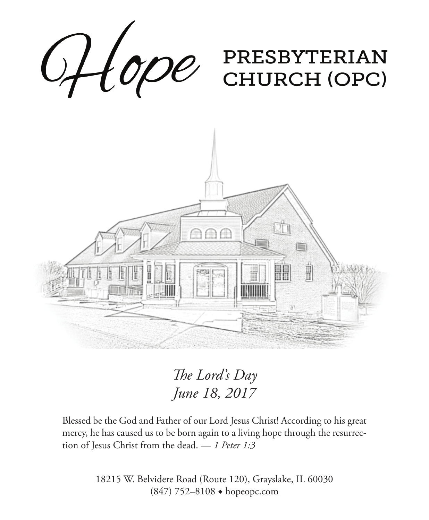

*The Lord's Day June 18, 2017* 

Blessed be the God and Father of our Lord Jesus Christ! According to his great mercy, he has caused us to be born again to a living hope through the resurrection of Jesus Christ from the dead. — *1 Peter 1:3*

> 18215 W. Belvidere Road (Route 120), Grayslake, IL 60030 (847) 752–8108 ◆ hopeopc.com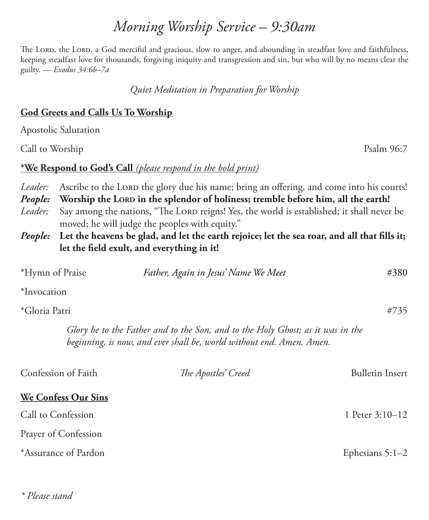# *Morning Worship Service – 9:30am*

The Lord, the Lord, a God merciful and gracious, slow to anger, and abounding in steadfast love and faithfulness, keeping steadfast love for thousands, forgiving iniquity and transgression and sin, but who will by no means clear the guilty. — *Exodus 34:6b–7a*

*Quiet Meditation in Preparation for Worship*

#### **God Greets and Calls Us To Worship**

Apostolic Salutation

Call to Worship Psalm 96:7

#### **\*We Respond to God's Call** *(please respond in the bold print)*

*Leader:* Ascribe to the LORD the glory due his name; bring an offering, and come into his courts!

*People:* Worship the LORD in the splendor of holiness; tremble before him, all the earth!

- Leader: Say among the nations, "The LORD reigns! Yes, the world is established; it shall never be moved; he will judge the peoples with equity."
- *People:* **Let the heavens be glad, and let the earth rejoice; let the sea roar, and all that fills it; let the field exult, and everything in it!**

| *Hymn of Praise            | Father, Again in Jesus' Name We Meet                                                                                                                   | #380                   |
|----------------------------|--------------------------------------------------------------------------------------------------------------------------------------------------------|------------------------|
| *Invocation                |                                                                                                                                                        |                        |
| *Gloria Patri              |                                                                                                                                                        | #735                   |
|                            | Glory be to the Father and to the Son, and to the Holy Ghost; as it was in the<br>beginning, is now, and ever shall be, world without end. Amen. Amen. |                        |
| Confession of Faith        | The Apostles' Creed                                                                                                                                    | <b>Bulletin Insert</b> |
| <b>We Confess Our Sins</b> |                                                                                                                                                        |                        |
| Call to Confession         |                                                                                                                                                        | 1 Peter 3:10–12        |
| Prayer of Confession       |                                                                                                                                                        |                        |

\*Assurance of Pardon Ephesians 5:1–2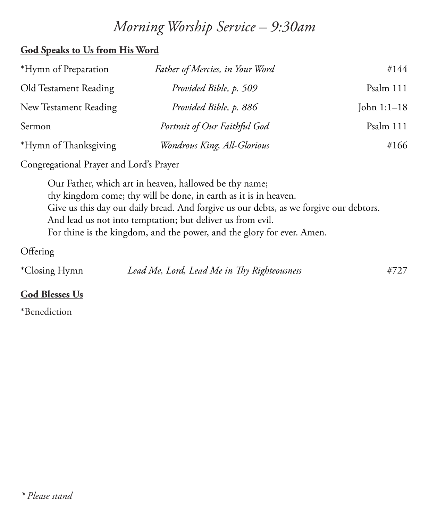# *Morning Worship Service – 9:30am*

### **God Speaks to Us from His Word**

| *Hymn of Preparation  | Father of Mercies, in Your Word | #144          |
|-----------------------|---------------------------------|---------------|
| Old Testament Reading | Provided Bible, p. 509          | Psalm 111     |
| New Testament Reading | Provided Bible, p. 886          | John $1:1-18$ |
| Sermon                | Portrait of Our Faithful God    | Psalm 111     |
| *Hymn of Thanksgiving | Wondrous King, All-Glorious     | #166          |

Congregational Prayer and Lord's Prayer

Our Father, which art in heaven, hallowed be thy name; thy kingdom come; thy will be done, in earth as it is in heaven. Give us this day our daily bread. And forgive us our debts, as we forgive our debtors. And lead us not into temptation; but deliver us from evil. For thine is the kingdom, and the power, and the glory for ever. Amen.

**Offering** 

\*Closing Hymn *Lead Me, Lord, Lead Me in Thy Righteousness* #727

### **God Blesses Us**

\*Benediction